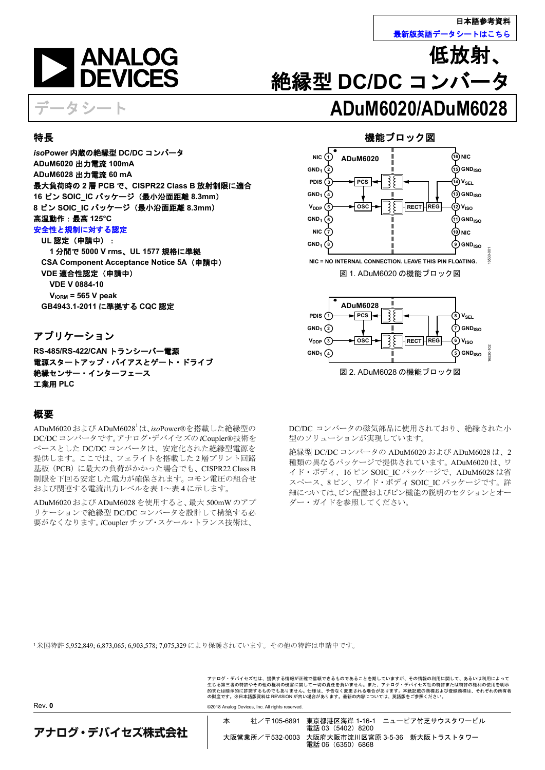

低放射

**GNDISO**

16530-102

530-1



データシート **ADuM6020/ADuM6028**

## <span id="page-0-0"></span>特長

*iso***Power** 内蔵の絶縁型 **DC/DC** コンバータ **ADuM6020** 出力電流 **100mA ADuM6028** 出力電流 **60 mA** 最大負荷時の **2** 層 **PCB** で、**CISPR22 Class B** 放射制限に適合 **16** ピン **SOIC\_IC** パッケージ(最小沿面距離 **8.3mm**) **8** ピン **SOIC\_IC** パッケージ(最小沿面距離 **8.3mm**) 高温動作:最高 **125°C** [安全性と規制に対する認定](http://www.analog.com/icouplersafety?doc=ADuM6020-6028.pdf)

## **UL** 認定(申請中):

**1** 分間で **5000 V rms**、**UL 1577** 規格に準拠 **CSA Component Acceptance Notice 5A**(申請中) **VDE** 適合性認定(申請中) **VDE V 0884-10 VIORM = 565 V peak GB4943.1-2011** に準拠する **CQC** 認定

## <span id="page-0-1"></span>アプリケーション

**RS-485/RS-422/CAN** トランシーバー電源 電源スタートアップ・バイアスとゲート・ドライブ 絶縁センサー・インターフェース 工業用 **PLC**

## <span id="page-0-3"></span>概要

Rev. **0**

ADuM6020 および ADuM6028<sup>1</sup> は、*iso*Power®を搭載した絶縁型の DC/DCコンバータです。アナログ・デバイセズの *i*Coupler®技術を ベースとした DC/DC コンバータは、安定化された絶縁型電源を 提供します。ここでは、フェライトを搭載した 2 層プリント回路 基板(PCB)に最大の負荷がかかった場合でも、CISPR22 Class B 制限を下回る安定した電力が確保されます。コモン電圧の組合せ および関連する電流出力レベル[を表](#page-2-0) 1[~表](#page-3-0) 4 に示します。

ADuM6020 および ADuM6028 を使用すると、最大 500mW のアプ リケーションで絶縁型 DC/DC コンバータを設計して構築する必 要がなくなります。*i*Coupler チップ・スケール・トランス技術は、

機能ブロック図

絶縁型 **DC/DC** コンバータ

<span id="page-0-2"></span>

図 2. ADuM6028 の機能ブロック図

**4 5**

**GND1**

DC/DC コンバータの磁気部品に使用されており、絶縁された小 型のソリューションが実現しています。

絶縁型 DC/DC コンバータの ADuM6020 および ADuM6028 は、2 種類の異なるパッケージで提供されています。ADuM6020 は、ワ イド・ボディ、16 ピン SOIC\_IC パッケージで、ADuM6028 は省 スペース、8ピン、ワイド・ボディ SOICIC パッケージです。詳 細については[、ピン配置およびピン機能の説明の](#page-9-0)セクション[とオー](#page-17-0) [ダー・ガイドを](#page-17-0)参照してください。

<sup>1</sup>米国特許 5,952,849; 6,873,065; 6,903,578; 7,075,329 により保護されています。その他の特許は申請中です。

アナログ・デバイセズ社は、提供する情報が正確で信頼できるものであることを期していますが、その情報の利用に関して、あるいは利用によって<br>生じる第三者の特許やその他の権利の侵害に関して一切の責任を負いません。また、アナログ・デバイセズ社の特許または特許の権利の使用を明示<br>的または暗示的に許諾するものでもありません。仕様は、予告なく変更される場合があります。本紙記載の商標および登録商標は、それぞれの所有者 の財産です。※日本語版資料は REVISION が古い場合があります。最新の内容については、英語版をご参照ください。

©2018 Analog Devices, Inc. All rights reserved.

アナログ・デバイセズ株式会社

本 社/〒105-6891 東京都港区海岸 1-16-1 ニューピア竹芝サウスタワービル 電話 03 (5402) 8200 大阪営業所/〒532-0003 大阪府大阪市淀川区宮原 3-5-36 新大阪トラストタワー 電話 06 (6350) 6868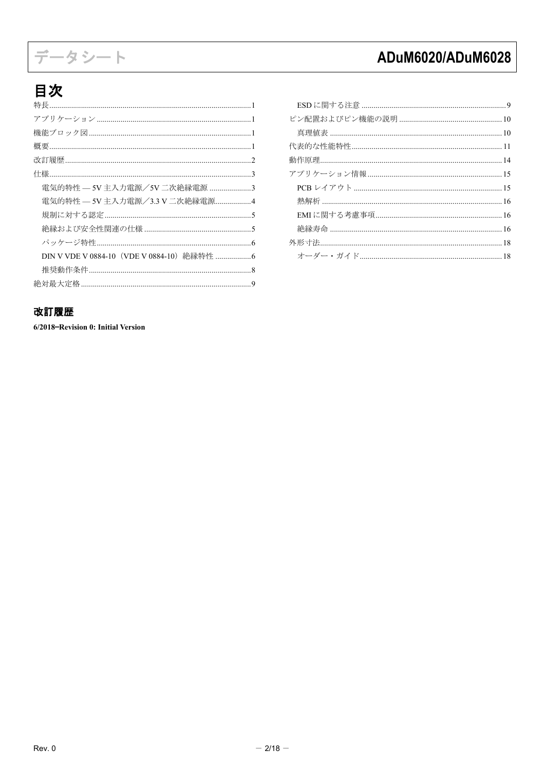# データシート

# ADuM6020/ADuM6028

# 目次

| 雷気的特性 — 5V 主入力雷源/5V 二次絶縁雷源 3   |
|--------------------------------|
| 電気的特性 — 5V 主入力電源/3.3 V 二次絶縁電源4 |
|                                |
|                                |
|                                |
|                                |
|                                |
|                                |

## <span id="page-1-0"></span>改訂履歴

6/2018-Revision 0: Initial Version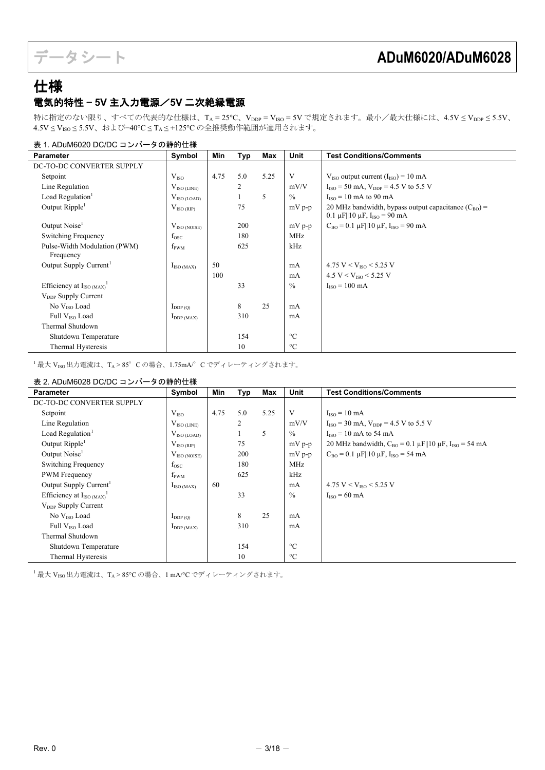## <span id="page-2-2"></span><span id="page-2-1"></span>仕様 電気的特性 — **5V** 主入力電源/**5V** 二次絶縁電源

特に指定のない限り、すべての代表的な仕様は、T<sub>A</sub> = 25°C、V<sub>DDP</sub> = V<sub>ISO</sub> = 5V で規定されます。最小/最大仕様には、4.5V ≤ V<sub>DDP</sub> ≤ 5.5V、 4.5V ≤ VISO ≤ 5.5V、および−40°C ≤ TA ≤ +125°C の全推奨動作範囲が適用されます。

## <span id="page-2-0"></span>表 1. ADuM6020 DC/DC コンバータの静的仕様

| <b>Parameter</b>                          | Symbol                 | Min  | <b>Typ</b> | Max  | <b>Unit</b>     | <b>Test Conditions/Comments</b>                                                                               |
|-------------------------------------------|------------------------|------|------------|------|-----------------|---------------------------------------------------------------------------------------------------------------|
| DC-TO-DC CONVERTER SUPPLY                 |                        |      |            |      |                 |                                                                                                               |
| Setpoint                                  | $V_{ISO}$              | 4.75 | 5.0        | 5.25 | V               | $V_{ISO}$ output current $(I_{ISO}) = 10$ mA                                                                  |
| Line Regulation                           | $V_{\rm ISO\,(LINE)}$  |      | 2          |      | mV/V            | $I_{ISO} = 50$ mA, $V_{DDP} = 4.5$ V to 5.5 V                                                                 |
| Load Regulation <sup>1</sup>              | $\rm V_{ISO\,(LOAD)}$  |      |            | 5    | $\%$            | $IISO = 10$ mA to 90 mA                                                                                       |
| Output Ripple <sup>1</sup>                | $V_{ISO(RIP)}$         |      | 75         |      | $mV$ p-p        | 20 MHz bandwidth, bypass output capacitance $(C_{BO})$ =<br>0.1 $\mu$ F  10 $\mu$ F, I <sub>ISO</sub> = 90 mA |
| Output Noise <sup>1</sup>                 | $V_{\rm ISO\,(NOISE)}$ |      | 200        |      | $mV$ p-p        | $C_{\text{BO}} = 0.1 \mu\text{F}  10 \mu\text{F}$ , $I_{\text{ISO}} = 90 \text{ mA}$                          |
| Switching Frequency                       | $f_{\rm{osc}}$         |      | 180        |      | MHz             |                                                                                                               |
| Pulse-Width Modulation (PWM)<br>Frequency | $f_{\rm PWM}$          |      | 625        |      | kHz             |                                                                                                               |
| Output Supply Current <sup>1</sup>        | $I_{ISO (MAX)}$        | 50   |            |      | mA              | 4.75 V < $V_{ISO}$ < 5.25 V                                                                                   |
|                                           |                        | 100  |            |      | mA              | 4.5 V < $V_{ISO}$ < 5.25 V                                                                                    |
| Efficiency at $I_{ISO (MAX)}$             |                        |      | 33         |      | $\frac{0}{0}$   | $IISO = 100 mA$                                                                                               |
| V <sub>DDP</sub> Supply Current           |                        |      |            |      |                 |                                                                                                               |
| No $VISO$ Load                            | $I_{DDP(Q)}$           |      | 8          | 25   | mA              |                                                                                                               |
| Full V <sub>ISO</sub> Load                | $I_{DDP (MAX)}$        |      | 310        |      | mA              |                                                                                                               |
| Thermal Shutdown                          |                        |      |            |      |                 |                                                                                                               |
| Shutdown Temperature                      |                        |      | 154        |      | $\rm ^{\circ}C$ |                                                                                                               |
| Thermal Hysteresis                        |                        |      | 10         |      | $\rm ^{\circ}C$ |                                                                                                               |

<span id="page-2-5"></span><span id="page-2-3"></span> $^{-1}$ 最大 VISO出力電流は、TA > 85°Cの場合、1.75mA $\ell$  C でディレーティングされます。

## 表 2. ADuM6028 DC/DC コンバータの静的仕様

<span id="page-2-4"></span>

| <b>Parameter</b>                   | Symbol                 | Min  | Typ | Max  | Unit            | <b>Test Conditions/Comments</b>                                              |
|------------------------------------|------------------------|------|-----|------|-----------------|------------------------------------------------------------------------------|
| DC-TO-DC CONVERTER SUPPLY          |                        |      |     |      |                 |                                                                              |
| Setpoint                           | $V_{ISO}$              | 4.75 | 5.0 | 5.25 | V               | $IISO = 10 mA$                                                               |
| Line Regulation                    | $V_{\rm ISO\,(LINE)}$  |      | 2   |      | mV/V            | $I_{ISO} = 30$ mA, $V_{DDP} = 4.5$ V to 5.5 V                                |
| Load Regulation <sup>1</sup>       | $V_{\rm ISO\,(LOAD)}$  |      |     | 5    | $\%$            | $IISO = 10$ mA to 54 mA                                                      |
| Output Ripple <sup>1</sup>         | $V_{ISO(RIP)}$         |      | 75  |      | $mV$ p-p        | 20 MHz bandwidth, $C_{BO} = 0.1 \mu$ F  10 $\mu$ F, I <sub>ISO</sub> = 54 mA |
| Output Noise <sup>1</sup>          | $V_{\rm ISO\,(NOISE)}$ |      | 200 |      | $mV$ p-p        | $C_{BO} = 0.1 \mu$ F  10 $\mu$ F, I <sub>ISO</sub> = 54 mA                   |
| Switching Frequency                | $f_{\rm{osc}}$         |      | 180 |      | <b>MHz</b>      |                                                                              |
| PWM Frequency                      | $f_{\rm PWM}$          |      | 625 |      | kHz             |                                                                              |
| Output Supply Current <sup>1</sup> | $I_{\text{ISO (MAX)}}$ | 60   |     |      | mA              | 4.75 V < $V_{ISO}$ < 5.25 V                                                  |
| Efficiency at $I_{ISO (MAX)}$      |                        |      | 33  |      | $\%$            | $IISO = 60 mA$                                                               |
| V <sub>DDP</sub> Supply Current    |                        |      |     |      |                 |                                                                              |
| No V <sub>ISO</sub> Load           | $I_{DDP(Q)}$           |      | 8   | 25   | mA              |                                                                              |
| Full V <sub>ISO</sub> Load         | $I_{DDP (MAX)}$        |      | 310 |      | mA              |                                                                              |
| Thermal Shutdown                   |                        |      |     |      |                 |                                                                              |
| Shutdown Temperature               |                        |      | 154 |      | $\rm ^{\circ}C$ |                                                                              |
| Thermal Hysteresis                 |                        |      | 10  |      | $\rm ^{\circ}C$ |                                                                              |

<span id="page-2-6"></span><sup>1</sup>最大 V<sub>ISO</sub>出力電流は、TA > 85℃の場合、1 mA/°C でディレーティングされます。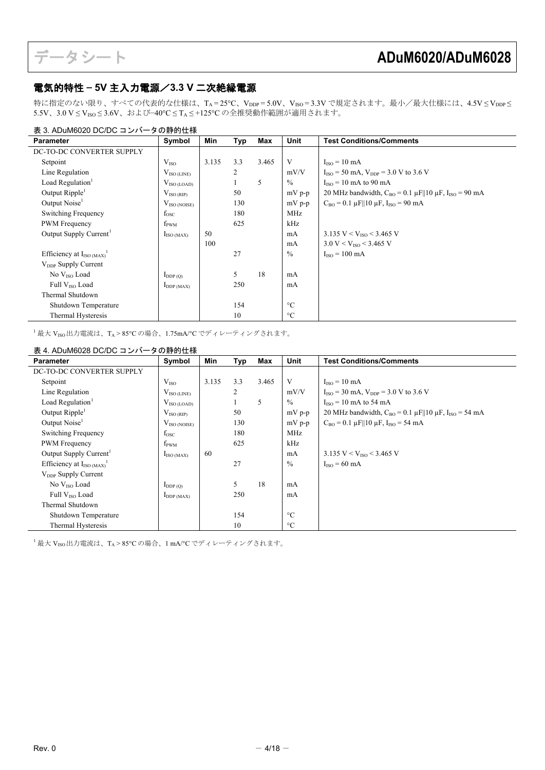## <span id="page-3-1"></span>電気的特性 — **5V** 主入力電源/**3.3 V** 二次絶縁電源

特に指定のない限り、すべての代表的な仕様は、T<sub>A</sub>=25℃、V<sub>DDP</sub>=5.0V、V<sub>ISO</sub>=3.3V で規定されます。最小/最大仕様には、4.5V≤V<sub>DDP</sub>≤ 5.5V、3.0 V ≤ VISO ≤ 3.6V、および−40°C ≤ TA ≤ +125°C の全推奨動作範囲が適用されます。

### 表 3. ADuM6020 DC/DC コンバータの静的仕様

<span id="page-3-2"></span>

| <b>Parameter</b>                   | Symbol                 | Min   | Typ | Max   | Unit            | <b>Test Conditions/Comments</b>                                                      |
|------------------------------------|------------------------|-------|-----|-------|-----------------|--------------------------------------------------------------------------------------|
| DC-TO-DC CONVERTER SUPPLY          |                        |       |     |       |                 |                                                                                      |
| Setpoint                           | V <sub>ISO</sub>       | 3.135 | 3.3 | 3.465 | V               | $Iiso = 10 mA$                                                                       |
| Line Regulation                    | $V_{\rm ISO~(LINE)}$   |       | 2   |       | mV/V            | $I_{ISO} = 50$ mA, $V_{DDP} = 3.0$ V to 3.6 V                                        |
| Load Regulation <sup>1</sup>       | $V_{\rm ISO (LOAD)}$   |       |     | 5     | $\frac{0}{0}$   | $IISO = 10$ mA to 90 mA                                                              |
| Output Ripple <sup>1</sup>         | $V_{\rm ISO(RIP)}$     |       | 50  |       | mV p-p          | 20 MHz bandwidth, $C_{BO} = 0.1 \mu$ F  10 $\mu$ F, I <sub>ISO</sub> = 90 mA         |
| Output Noise <sup>1</sup>          | $V_{ISO (NOISE)}$      |       | 130 |       | mV p-p          | $C_{\text{BO}} = 0.1 \mu\text{F}  10 \mu\text{F}$ , $I_{\text{ISO}} = 90 \text{ mA}$ |
| Switching Frequency                | $f_{\rm{osc}}$         |       | 180 |       | <b>MHz</b>      |                                                                                      |
| <b>PWM</b> Frequency               | $f_{\rm PWM}$          |       | 625 |       | kHz             |                                                                                      |
| Output Supply Current <sup>1</sup> | $I_{\text{ISO (MAX)}}$ | 50    |     |       | mA              | 3.135 V < $V_{ISO}$ < 3.465 V                                                        |
|                                    |                        | 100   |     |       | mA              | $3.0 V < V_{ISO} < 3.465 V$                                                          |
| Efficiency at $I_{ISO (MAX)}$      |                        |       | 27  |       | $\frac{0}{0}$   | $Iiso = 100 mA$                                                                      |
| $V_{\text{DDP}}$ Supply Current    |                        |       |     |       |                 |                                                                                      |
| No $V_{ISO}$ Load                  | $I_{DDP(Q)}$           |       | 5   | 18    | mA              |                                                                                      |
| Full V <sub>ISO</sub> Load         | $I_{DDP (MAX)}$        |       | 250 |       | mA              |                                                                                      |
| Thermal Shutdown                   |                        |       |     |       |                 |                                                                                      |
| Shutdown Temperature               |                        |       | 154 |       | $\rm ^{\circ}C$ |                                                                                      |
| Thermal Hysteresis                 |                        |       | 10  |       | $\rm ^{\circ}C$ |                                                                                      |

<span id="page-3-4"></span> $^{-1}$ 最大 V<sub>ISO</sub>出力電流は、TA > 85°C の場合、1.75mA/°C でディレーティングされます。

## <span id="page-3-0"></span>表 4. ADuM6028 DC/DC コンバータの静的仕様

<span id="page-3-3"></span>

| Parameter                                   | Symbol                          | Min   | Тур | Max   | Unit            | <b>Test Conditions/Comments</b>                                              |
|---------------------------------------------|---------------------------------|-------|-----|-------|-----------------|------------------------------------------------------------------------------|
| DC-TO-DC CONVERTER SUPPLY                   |                                 |       |     |       |                 |                                                                              |
| Setpoint                                    | $V_{ISO}$                       | 3.135 | 3.3 | 3.465 | V               | $IISO = 10 mA$                                                               |
| Line Regulation                             | $V_{\rm ISO~(LINE)}$            |       | 2   |       | mV/V            | $I_{\text{ISO}} = 30 \text{ mA}$ , $V_{\text{DDP}} = 3.0 \text{ V}$ to 3.6 V |
| Load Regulation <sup>1</sup>                | $V_{\text{ISO (LOAD)}}$         |       |     | 5     | $\frac{0}{0}$   | $IISO = 10$ mA to 54 mA                                                      |
| Output Ripple <sup>1</sup>                  | $V_{ISO(RIP)}$                  |       | 50  |       | $mV$ p-p        | 20 MHz bandwidth, $C_{BO} = 0.1 \mu$ F  10 $\mu$ F, I <sub>ISO</sub> = 54 mA |
| Output Noise <sup>1</sup>                   | $V_{\rm ISO\,(NOISE)}$          |       | 130 |       | $mV$ p-p        | $C_{BO} = 0.1 \mu$ F  10 $\mu$ F, I <sub>ISO</sub> = 54 mA                   |
| Switching Frequency                         | $f_{\rm osc}$                   |       | 180 |       | MHz             |                                                                              |
| PWM Frequency                               | $f_{\rm PWM}$                   |       | 625 |       | kHz             |                                                                              |
| Output Supply Current <sup>1</sup>          | $I_{\text{ISO (MAX)}}$          | 60    |     |       | mA              | 3.135 V < $V_{ISO}$ < 3.465 V                                                |
| Efficiency at $I_{ISO\,(MAX)}$ <sup>1</sup> |                                 |       | 27  |       | $\%$            | $IISO = 60 mA$                                                               |
| V <sub>DDP</sub> Supply Current             |                                 |       |     |       |                 |                                                                              |
| No $V_{ISO}$ Load                           | $I_{DDP(Q)}$                    |       | 5   | 18    | mA              |                                                                              |
| Full V <sub>ISO</sub> Load                  | $\mathbf{I}_{\text{DDP (MAX)}}$ |       | 250 |       | mA              |                                                                              |
| Thermal Shutdown                            |                                 |       |     |       |                 |                                                                              |
| Shutdown Temperature                        |                                 |       | 154 |       | $\rm ^{\circ}C$ |                                                                              |
| Thermal Hysteresis                          |                                 |       | 10  |       | $\rm ^{\circ}C$ |                                                                              |

<span id="page-3-5"></span> $^{-1}$ 最大 V<sub>ISO</sub>出力電流は、TA > 85°C の場合、1 mA/°C でディレーティングされます。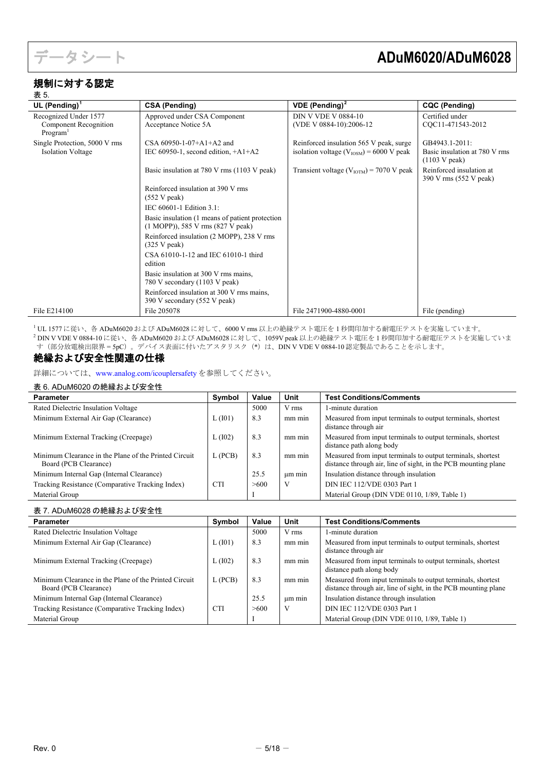

## <span id="page-4-0"></span>規制に対する認定

<span id="page-4-2"></span>

| 表 5.                                          |                                                                                      |                                                       |                                                    |
|-----------------------------------------------|--------------------------------------------------------------------------------------|-------------------------------------------------------|----------------------------------------------------|
| UL (Pending) $1$                              | <b>CSA (Pending)</b>                                                                 | <b>VDE</b> (Pending) <sup>2</sup>                     | <b>CQC (Pending)</b>                               |
| Recognized Under 1577                         | Approved under CSA Component                                                         | <b>DIN V VDE V 0884-10</b>                            | Certified under                                    |
| Component Recognition<br>Program <sup>1</sup> | Acceptance Notice 5A                                                                 | (VDE V 0884-10):2006-12                               | CQC11-471543-2012                                  |
| Single Protection, 5000 V rms                 | CSA $60950 - 1 - 07 + A1 + A2$ and                                                   | Reinforced insulation 565 V peak, surge               | GB4943.1-2011:                                     |
| <b>Isolation Voltage</b>                      | IEC $60950-1$ , second edition, $+A1+A2$                                             | isolation voltage ( $V_{\text{IOSM}}$ ) = 6000 V peak | Basic insulation at 780 V rms<br>(1103 V peak)     |
|                                               | Basic insulation at 780 V rms (1103 V peak)                                          | Transient voltage ( $V_{IOTM}$ ) = 7070 V peak        | Reinforced insulation at<br>390 V rms (552 V peak) |
|                                               | Reinforced insulation at 390 V rms<br>(552 V peak)                                   |                                                       |                                                    |
|                                               | IEC 60601-1 Edition 3.1:                                                             |                                                       |                                                    |
|                                               | Basic insulation (1 means of patient protection<br>(1 MOPP)), 585 V rms (827 V peak) |                                                       |                                                    |
|                                               | Reinforced insulation (2 MOPP), 238 V rms<br>(325 V peak)                            |                                                       |                                                    |
|                                               | CSA 61010-1-12 and IEC 61010-1 third<br>edition                                      |                                                       |                                                    |
|                                               | Basic insulation at 300 V rms mains,<br>780 V secondary (1103 V peak)                |                                                       |                                                    |
|                                               | Reinforced insulation at 300 V rms mains,<br>390 V secondary (552 V peak)            |                                                       |                                                    |
| File E214100                                  | File 205078                                                                          | File 2471900-4880-0001                                | File (pending)                                     |

<span id="page-4-4"></span><span id="page-4-3"></span><sup>1</sup> UL 1577 に従い、各 ADuM6020 および ADuM6028 に対して、6000 V rms 以上の絶縁テスト電圧を 1 秒間印加する耐電圧テストを実施しています。 <sup>2</sup> DIN V VDE V 0884-10 に従い、各 ADuM6020 および ADuM6028 に対して、1059V peak 以上の絶縁テスト電圧を 1 秒間印加する耐電圧テストを実施していま す(部分放電検出限界 = 5pC)。デバイス表面に付いたアスタリスク(\*)は、DIN V VDE V 0884-10 認定製品であることを示します。

## <span id="page-4-1"></span>絶縁および安全性関連の仕様

詳細については、[www.analog.com/icouplersafety](http://www.analog.com/icouplersafety?doc=ADuM6020-6028.pdf) を参照してください。

### <span id="page-4-5"></span>表 6. ADuM6020 の絶縁および安全性

| <b>Parameter</b>                                                               | Symbol     | Value | Unit      | <b>Test Conditions/Comments</b>                                                                                               |
|--------------------------------------------------------------------------------|------------|-------|-----------|-------------------------------------------------------------------------------------------------------------------------------|
| Rated Dielectric Insulation Voltage                                            |            | 5000  | V rms     | 1-minute duration                                                                                                             |
| Minimum External Air Gap (Clearance)                                           | L(101)     | 8.3   | mm min    | Measured from input terminals to output terminals, shortest<br>distance through air                                           |
| Minimum External Tracking (Creepage)                                           | L(102)     | 8.3   | mm min    | Measured from input terminals to output terminals, shortest<br>distance path along body                                       |
| Minimum Clearance in the Plane of the Printed Circuit<br>Board (PCB Clearance) | $L$ (PCB)  | 8.3   | $mm$ $mm$ | Measured from input terminals to output terminals, shortest<br>distance through air, line of sight, in the PCB mounting plane |
| Minimum Internal Gap (Internal Clearance)                                      |            | 25.5  | um min    | Insulation distance through insulation                                                                                        |
| Tracking Resistance (Comparative Tracking Index)                               | <b>CTI</b> | >600  |           | DIN IEC 112/VDE 0303 Part 1                                                                                                   |
| Material Group                                                                 |            |       |           | Material Group (DIN VDE 0110, 1/89, Table 1)                                                                                  |

### <span id="page-4-6"></span>表 7. ADuM6028 の絶縁および安全性

| <b>Parameter</b>                                                               | Symbol     | Value | Unit        | <b>Test Conditions/Comments</b>                                                                                               |
|--------------------------------------------------------------------------------|------------|-------|-------------|-------------------------------------------------------------------------------------------------------------------------------|
| Rated Dielectric Insulation Voltage                                            |            | 5000  | V rms       | 1-minute duration                                                                                                             |
| Minimum External Air Gap (Clearance)                                           | L(101)     | 8.3   | mm min      | Measured from input terminals to output terminals, shortest<br>distance through air                                           |
| Minimum External Tracking (Creepage)                                           | L(102)     | 8.3   | mm min      | Measured from input terminals to output terminals, shortest<br>distance path along body                                       |
| Minimum Clearance in the Plane of the Printed Circuit<br>Board (PCB Clearance) | L(PCB)     | 8.3   | mm min      | Measured from input terminals to output terminals, shortest<br>distance through air, line of sight, in the PCB mounting plane |
| Minimum Internal Gap (Internal Clearance)                                      |            | 25.5  | $\mu$ m min | Insulation distance through insulation                                                                                        |
| Tracking Resistance (Comparative Tracking Index)                               | <b>CTI</b> | >600  | V           | DIN IEC 112/VDE 0303 Part 1                                                                                                   |
| Material Group                                                                 |            |       |             | Material Group (DIN VDE 0110, 1/89, Table 1)                                                                                  |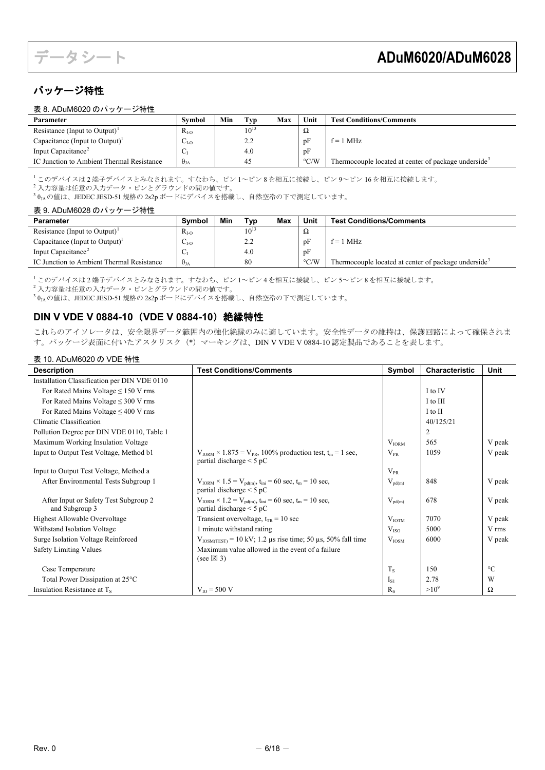## <span id="page-5-0"></span>パッケージ特性

<span id="page-5-10"></span><span id="page-5-2"></span>

| 表 8. ADuM6020 のパッケージ特性 |  |  |
|------------------------|--|--|
|------------------------|--|--|

| Parameter                                  | <b>Symbol</b>   | Min | Typ               | Max | Unit               | <b>Test Conditions/Comments</b>                                  |
|--------------------------------------------|-----------------|-----|-------------------|-----|--------------------|------------------------------------------------------------------|
| Resistance (Input to Output) <sup>1</sup>  | $R_{I-O}$       |     | $10^{13}$         |     | Ω                  |                                                                  |
| Capacitance (Input to Output) <sup>1</sup> | $U_{\text{LO}}$ |     | າ າ<br><u>L.L</u> |     | pF                 | $f = 1$ MHz                                                      |
| Input Capacitance <sup>2</sup>             |                 |     | 4.0               |     | pF                 |                                                                  |
| IC Junction to Ambient Thermal Resistance  | $\theta_{JA}$   |     | 45                |     | $\rm ^{\circ}$ C/W | Thermocouple located at center of package underside <sup>3</sup> |

<span id="page-5-4"></span><sup>1</sup> このデバイスは 2 端子デバイスとみなされます。すなわち、ピン 1~ピン 8 を相互に接続し、ピン 9~ピン 16 を相互に接続します。

<span id="page-5-5"></span>- コック → ・・・・・・・・・・・・・・<br>2 入力容量は任意の入力データ・ピンとグラウンドの間の値です。

3  $\theta_{JA}$ の値は、JEDEC JESD-51 規格の 2s2p ボードにデバイスを搭載し、自然空冷の下で測定しています。

## <span id="page-5-11"></span><span id="page-5-6"></span>表 9. ADuM6028 のパッケージ特性

<span id="page-5-3"></span>

| Parameter                                  | Symbol        | Min | Typ        | Max | Unit               | <b>Test Conditions/Comments</b>                                  |
|--------------------------------------------|---------------|-----|------------|-----|--------------------|------------------------------------------------------------------|
| Resistance (Input to Output) <sup>1</sup>  | $R_{I-O}$     |     | $10^{13}$  |     | Ω                  |                                                                  |
| Capacitance (Input to Output) <sup>1</sup> | $C_{I-O}$     |     | <u>L.L</u> |     | pF                 | MHz<br>í≕.                                                       |
| Input Capacitance <sup>2</sup>             |               |     | 4.0        |     | pF                 |                                                                  |
| IC Junction to Ambient Thermal Resistance  | $\theta_{JA}$ |     | 80         |     | $\rm ^{\circ} C/W$ | Thermocouple located at center of package underside <sup>3</sup> |

<span id="page-5-7"></span><sup>1</sup> このデバイスは 2 端子デバイスとみなされます。すなわち、ピン 1~ピン 4 を相互に接続し、ピン 5~ピン 8 を相互に接続します。

<span id="page-5-8"></span>2 スプランス コンコンデータ・ピンとグラウンドの間の値です。<br>
2 入力容量は任意の入力データ・ピンとグラウンドの間の値です。

<span id="page-5-9"></span> $3\theta_{1\text{A}}$ の値は、JEDEC JESD-51 規格の2s2p ボードにデバイスを搭載し、自然空冷の下で測定しています。

## <span id="page-5-1"></span>**DIN V VDE V 0884-10**(**VDE V 0884-10**)絶縁特性

これらのアイソレータは、安全限界データ範囲内の強化絶縁のみに適しています。安全性データの維持は、保護回路によって確保されま す。パッケージ表面に付いたアスタリスク (\*) マーキングは、DIN V VDE V 0884-10 認定製品であることを表します。

### 表 10. ADuM6020 の VDE 特性

| <b>Description</b>                                      | <b>Test Conditions/Comments</b>                                                                                              | Symbol            | <b>Characteristic</b> | <b>Unit</b>     |
|---------------------------------------------------------|------------------------------------------------------------------------------------------------------------------------------|-------------------|-----------------------|-----------------|
| Installation Classification per DIN VDE 0110            |                                                                                                                              |                   |                       |                 |
| For Rated Mains Voltage $\leq$ 150 V rms                |                                                                                                                              |                   | I to IV               |                 |
| For Rated Mains Voltage $\leq$ 300 V rms                |                                                                                                                              |                   | I to III              |                 |
| For Rated Mains Voltage $\leq 400$ V rms                |                                                                                                                              |                   | I to II               |                 |
| Climatic Classification                                 |                                                                                                                              |                   | 40/125/21             |                 |
| Pollution Degree per DIN VDE 0110, Table 1              |                                                                                                                              |                   | $\overline{c}$        |                 |
| Maximum Working Insulation Voltage                      |                                                                                                                              | V <sub>IONM</sub> | 565                   | V peak          |
| Input to Output Test Voltage, Method b1                 | $V_{IORM} \times 1.875 = V_{PR}$ , 100% production test, $t_m = 1$ sec,<br>partial discharge $\leq$ 5 pC                     | $V_{PR}$          | 1059                  | V peak          |
| Input to Output Test Voltage, Method a                  |                                                                                                                              | $V_{PR}$          |                       |                 |
| After Environmental Tests Subgroup 1                    | $V_{IORM}$ × 1.5 = $V_{\text{pd(m)}}$ , t <sub>ini</sub> = 60 sec, t <sub>m</sub> = 10 sec,<br>partial discharge $<$ 5 pC    | $V_{pd(m)}$       | 848                   | V peak          |
| After Input or Safety Test Subgroup 2<br>and Subgroup 3 | $V_{IORM}$ × 1.2 = $V_{\text{pd(m)}}$ , $t_{\text{ini}}$ = 60 sec, $t_{\text{m}}$ = 10 sec,<br>partial discharge $\leq$ 5 pC | $V_{pd(m)}$       | 678                   | V peak          |
| Highest Allowable Overvoltage                           | Transient overvoltage, $t_{TR} = 10$ sec                                                                                     | V <sub>IOTM</sub> | 7070                  | V peak          |
| Withstand Isolation Voltage                             | 1 minute withstand rating                                                                                                    | V <sub>ISO</sub>  | 5000                  | V rms           |
| Surge Isolation Voltage Reinforced                      | $V_{\text{IOSM(TEST)}} = 10 \text{ kV}; 1.2 \text{ }\mu\text{s}$ rise time; 50 $\mu\text{s}$ , 50% fall time                 | $V_{IOSM}$        | 6000                  | V peak          |
| <b>Safety Limiting Values</b>                           | Maximum value allowed in the event of a failure                                                                              |                   |                       |                 |
|                                                         | (see $\boxtimes$ 3)                                                                                                          |                   |                       |                 |
| Case Temperature                                        |                                                                                                                              | $T_{\rm S}$       | 150                   | $\rm ^{\circ}C$ |
| Total Power Dissipation at 25°C                         |                                                                                                                              | $I_{S1}$          | 2.78                  | W               |
| Insulation Resistance at $T_s$                          | $V_{IO} = 500 V$                                                                                                             | $R_{S}$           | $>10^{9}$             | Ω               |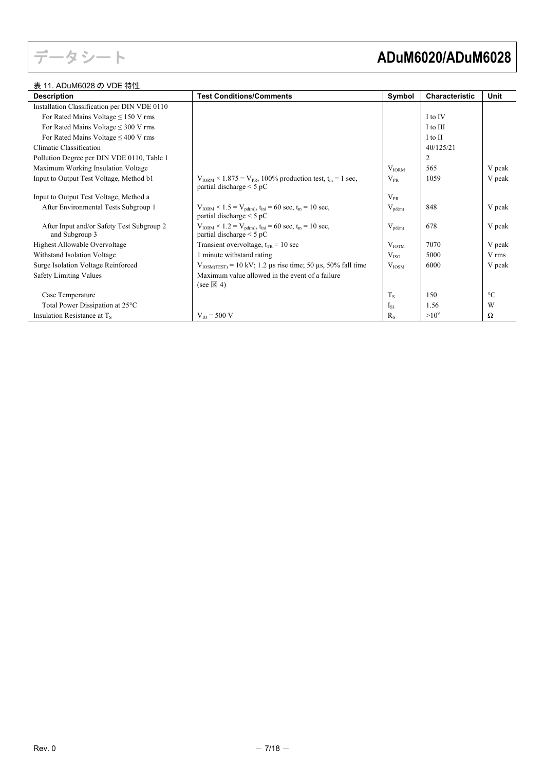

## 表 11. ADuM6028 の VDE 特性

# データシート **ADuM6020/ADuM6028**

| <b>Description</b>                                          | <b>Test Conditions/Comments</b>                                                                                              | Symbol            | Characteristic | <b>Unit</b>     |
|-------------------------------------------------------------|------------------------------------------------------------------------------------------------------------------------------|-------------------|----------------|-----------------|
| Installation Classification per DIN VDE 0110                |                                                                                                                              |                   |                |                 |
| For Rated Mains Voltage $\leq$ 150 V rms                    |                                                                                                                              |                   | I to IV        |                 |
| For Rated Mains Voltage $\leq$ 300 V rms                    |                                                                                                                              |                   | I to III       |                 |
| For Rated Mains Voltage $\leq 400$ V rms                    |                                                                                                                              |                   | I to II        |                 |
| Climatic Classification                                     |                                                                                                                              |                   | 40/125/21      |                 |
| Pollution Degree per DIN VDE 0110, Table 1                  |                                                                                                                              |                   | 2              |                 |
| Maximum Working Insulation Voltage                          |                                                                                                                              | $V_{IORM}$        | 565            | V peak          |
| Input to Output Test Voltage, Method b1                     | $V_{IORM} \times 1.875 = V_{PR}$ , 100% production test, t <sub>m</sub> = 1 sec,<br>partial discharge $\leq$ 5 pC            | $\rm V_{\rm PR}$  | 1059           | V peak          |
| Input to Output Test Voltage, Method a                      |                                                                                                                              | $\rm V_{PR}$      |                |                 |
| After Environmental Tests Subgroup 1                        | $V_{IORM}$ × 1.5 = $V_{\text{pd(m)}}$ , t <sub>ini</sub> = 60 sec, t <sub>m</sub> = 10 sec,<br>partial discharge $\leq$ 5 pC | $V_{pd(m)}$       | 848            | V peak          |
| After Input and/or Safety Test Subgroup 2<br>and Subgroup 3 | $V_{IORM} \times 1.2 = V_{pd(m)}$ , $t_{ini} = 60$ sec, $t_m = 10$ sec,<br>partial discharge $\leq$ 5 pC                     | $V_{pd(m)}$       | 678            | V peak          |
| Highest Allowable Overvoltage                               | Transient overvoltage, $t_{TR} = 10$ sec                                                                                     | V <sub>IOTM</sub> | 7070           | V peak          |
| Withstand Isolation Voltage                                 | 1 minute withstand rating                                                                                                    | V <sub>ISO</sub>  | 5000           | V rms           |
| Surge Isolation Voltage Reinforced                          | $V_{\text{IOSM(TEST)}} = 10 \text{ kV}; 1.2 \text{ µs rise time}; 50 \text{ µs}, 50\% \text{ fall time}$                     | $V_{\text{IOSM}}$ | 6000           | V peak          |
| Safety Limiting Values                                      | Maximum value allowed in the event of a failure<br>(see $\boxtimes$ 4)                                                       |                   |                |                 |
| Case Temperature                                            |                                                                                                                              | $T_{\rm S}$       | 150            | $\rm ^{\circ}C$ |
| Total Power Dissipation at 25°C                             |                                                                                                                              | $I_{S1}$          | 1.56           | W               |
| Insulation Resistance at $T_s$                              | $V_{\text{IO}} = 500 \text{ V}$                                                                                              | $R_{S}$           | $>10^{9}$      | Ω               |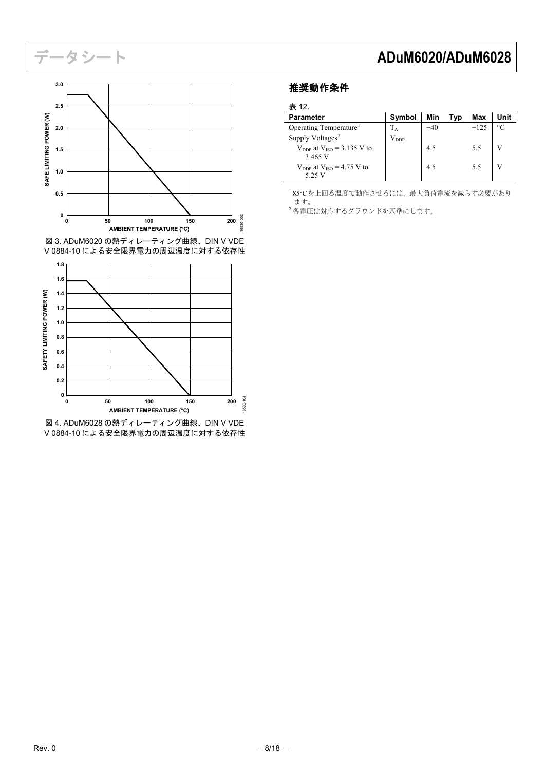

<span id="page-7-4"></span><span id="page-7-3"></span><span id="page-7-1"></span>図 3. ADuM6020 の熱ディレーティング曲線、DIN V VDE V 0884-10 による安全限界電力の周辺温度に対する依存性



<span id="page-7-2"></span>図 4. ADuM6028 の熱ディレーティング曲線、DIN V VDE V 0884-10 による安全限界電力の周辺温度に対する依存性

## <span id="page-7-0"></span>推奨動作条件

表 12.

| <b>Parameter</b>                                  | Symbol    | Min | Tvp | Max    | Unit      |
|---------------------------------------------------|-----------|-----|-----|--------|-----------|
| Operating Temperature                             | $T_A$     | -40 |     | $+125$ | $\circ$ C |
| Supply Voltages <sup>2</sup>                      | $V_{DDP}$ |     |     |        |           |
| $V_{\text{DDP}}$ at $V_{\text{ISO}} = 3.135$ V to |           | 4.5 |     | 5.5    |           |
| 3.465 V                                           |           |     |     |        |           |
| $V_{DDP}$ at $V_{ISO} = 4.75$ V to                |           | 4.5 |     | 5.5    |           |
| 5.25 V                                            |           |     |     |        |           |

<sup>1</sup> 85°Cを上回る温度で動作させるには、最大負荷電流を減らす必要があり ます。

。。。。<br>2 各電圧は対応するグラウンドを基準にします。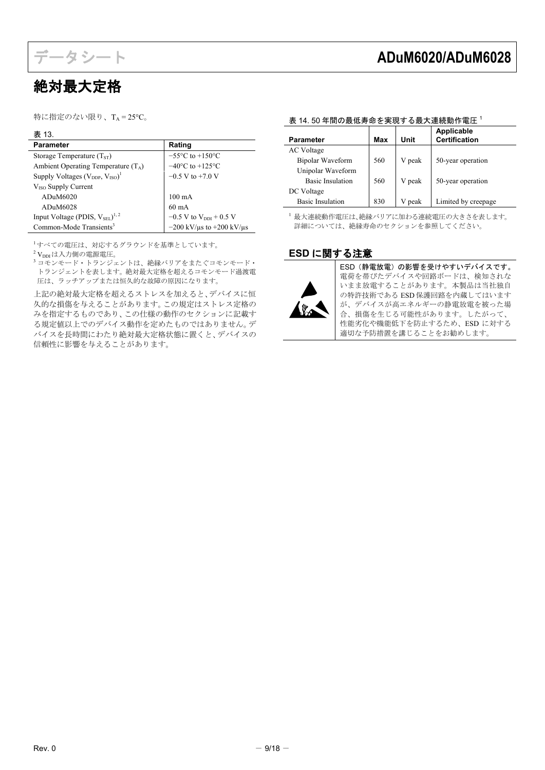

# <span id="page-8-0"></span>絶対最大定格

特に指定のない限り、TA =  $25^{\circ}$ C。

## 表 13.

| <b>Parameter</b>                                    | Rating                                   |  |
|-----------------------------------------------------|------------------------------------------|--|
| Storage Temperature $(TST)$                         | $-55^{\circ}$ C to $+150^{\circ}$ C      |  |
| Ambient Operating Temperature $(T_A)$               | $-40^{\circ}$ C to $+125^{\circ}$ C      |  |
| Supply Voltages $(V_{DDP}, V_{ISO})^1$              | $-0.5$ V to $+7.0$ V                     |  |
| $VISO$ Supply Current                               |                                          |  |
| ADuM6020                                            | $100 \text{ mA}$                         |  |
| ADuM6028                                            | $60 \text{ mA}$                          |  |
| Input Voltage (PDIS, $V_{\rm SEI}$ ) <sup>1,2</sup> | $-0.5$ V to $V_{DDI}$ + 0.5 V            |  |
| Common-Mode Transients <sup>3</sup>                 | $-200$ kV/ $\mu$ s to $+200$ kV/ $\mu$ s |  |

<sup>1</sup>すべての電圧は、対応するグラウンドを基準としています。

 $2V_{\text{DDI}}$ は入力側の電源電圧。

**3 コモンモード・トランジェントは、絶縁バリアをまたぐコモンモード・** トランジェントを表します。絶対最大定格を超えるコモンモード過渡電 圧は、ラッチアップまたは恒久的な故障の原因になります。

上記の絶対最大定格を超えるストレスを加えると、デバイスに恒 久的な損傷を与えることがあります。この規定はストレス定格の みを指定するものであり、この仕様の動作のセクションに記載す る規定値以上でのデバイス動作を定めたものではありません。デ バイスを長時間にわたり絶対最大定格状態に置くと、デバイスの 信頼性に影響を与えることがあります。

# データシート **ADuM6020/ADuM6028**

## <span id="page-8-2"></span>表 14. 50 年間の最低寿命を実現する最大連続動作電圧<sup>1</sup>

| <b>Parameter</b>        | Max | Unit   | <b>Applicable</b><br><b>Certification</b> |
|-------------------------|-----|--------|-------------------------------------------|
| AC Voltage              |     |        |                                           |
| Bipolar Waveform        | 560 | V peak | 50-year operation                         |
| Unipolar Waveform       |     |        |                                           |
| <b>Basic Insulation</b> | 560 | V peak | 50-year operation                         |
| DC Voltage              |     |        |                                           |
| Basic Insulation        | 830 | V peak | Limited by creepage                       |

<sup>1</sup> 最大連続動作電圧は、絶縁バリアに加わる連続電圧の大きさを表します。 詳細については[、絶縁寿命の](#page-15-2)セクションを参照してください。

## <span id="page-8-1"></span>**ESD** に関する注意



ESD(静電放電)の影響を受けやすいデバイスです。 電荷を帯びたデバイスや回路ボードは、検知されな いまま放電することがあります。本製品は当社独自 の特許技術である ESD 保護回路を内蔵してはいます が、デバイスが高エネルギーの静電放電を被った場 合、損傷を生じる可能性があります。したがって、 性能劣化や機能低下を防止するため、ESD に対する 適切な予防措置を講じることをお勧めします。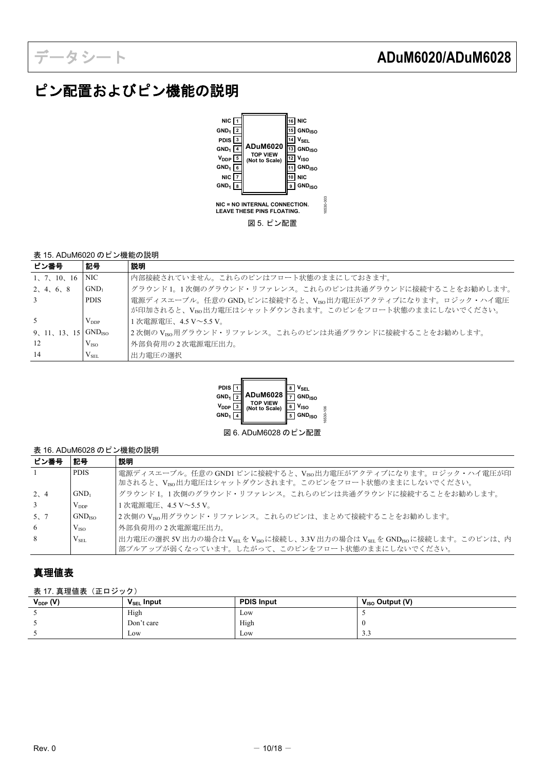# <span id="page-9-0"></span>ピン配置およびピン機能の説明



## 表 15. ADuM6020 のピン機能の説明

| ピン番号         | 記号                      | 説明                                                                                                               |
|--------------|-------------------------|------------------------------------------------------------------------------------------------------------------|
| 1, 7, 10, 16 | NIC -                   | 内部接続されていません。これらのピンはフロート状熊のままにしておきます。                                                                             |
| 2, 4, 6, 8   | $GND_1$                 | グラウンド1。1次側のグラウンド・リファレンス。これらのピンは共通グラウンドに接続することをお勧めします。                                                            |
| 3            | <b>PDIS</b>             | 電源ディスエーブル。任意の GND」ピンに接続すると、VIso出力電圧がアクティブになります。ロジック・ハイ電圧<br>が印加されると、VEG出力電圧はシャットダウンされます。このピンをフロート状態のままにしないでください。 |
| -5           | $V_{DDP}$               | 1次電源電圧、4.5 V~5.5 V。                                                                                              |
| 9, 11, 13,   | $15$ GND <sub>ISO</sub> | 2次側のViso用グラウンド・リファレンス。これらのピンは共通グラウンドに接続することをお勧めします。                                                              |
| 12           | V <sub>ISO</sub>        | 外部負荷用の2次電源電圧出力。                                                                                                  |
| 14           | $V_{SEL}$               | 出力電圧の選択                                                                                                          |



図 6. ADuM6028 のピン配置

## 表 16. ADuM6028 のピン機能の説明

| ピン番号           | 記号                 | 説明                                                                                                                          |
|----------------|--------------------|-----------------------------------------------------------------------------------------------------------------------------|
| $\overline{1}$ | <b>PDIS</b>        | 電源ディスエーブル。任意の GND1 ピンに接続すると、Vrso出力電圧がアクティブになります。ロジック・ハイ電圧が印                                                                 |
|                |                    | 加されると、Vrso出力電圧はシャットダウンされます。このピンをフロート状態のままにしないでください。                                                                         |
| 2, 4           | $GND_1$            | グラウンド1。1次側のグラウンド・リファレンス。これらのピンは共通グラウンドに接続することをお勧めします。                                                                       |
| $\overline{3}$ | $V_{DDP}$          | 1次電源電圧、4.5 V~5.5 V。                                                                                                         |
| 5, 7           | GND <sub>ISO</sub> | 2次側のVrso用グラウンド・リファレンス。これらのピンは、まとめて接続することをお勧めします。                                                                            |
| 6              | V <sub>ISO</sub>   | 外部負荷用の2次電源電圧出力。                                                                                                             |
| 8              | $V_{\rm SEL}$      | 出力電圧の選択 5V 出力の場合は V <sub>SEL</sub> を V <sub>ISO</sub> に接続し、3.3V 出力の場合は V <sub>SEL</sub> を GND <sub>ISO</sub> に接続します。このピンは、内 |
|                |                    | 部プルアップが弱くなっています。したがって、このピンをフロート状態のままにしないでください。                                                                              |

## <span id="page-9-1"></span>真理値表

表 17. 真理値表 (正ロジック)

| $V_{DDP} (V)$ | $V_{\text{SEL}}$ Input | <b>PDIS Input</b> | $V_{ISO}$ Output (V) |
|---------------|------------------------|-------------------|----------------------|
|               | High                   | Low               |                      |
|               | Don't care             | High              |                      |
|               | Low                    | Low               | $\sim$ $\sim$<br>د.د |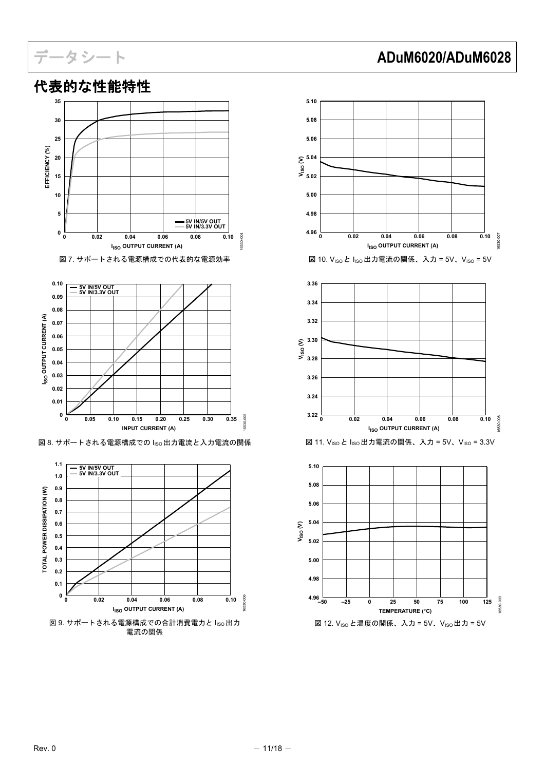

**0 0.02 0.04 0.06 0.08 0.10**

**I<sub>ISO</sub> OUTPUT CURRENT (A)** 

図 9. サポートされる電源構成での合計消費電力と Iso出力 電流の関係

# <span id="page-10-0"></span>代表的な性能特性

# データシート **ADuM6020/ADuM6028**



16530-006

3530-006

**0 0.1 0.2**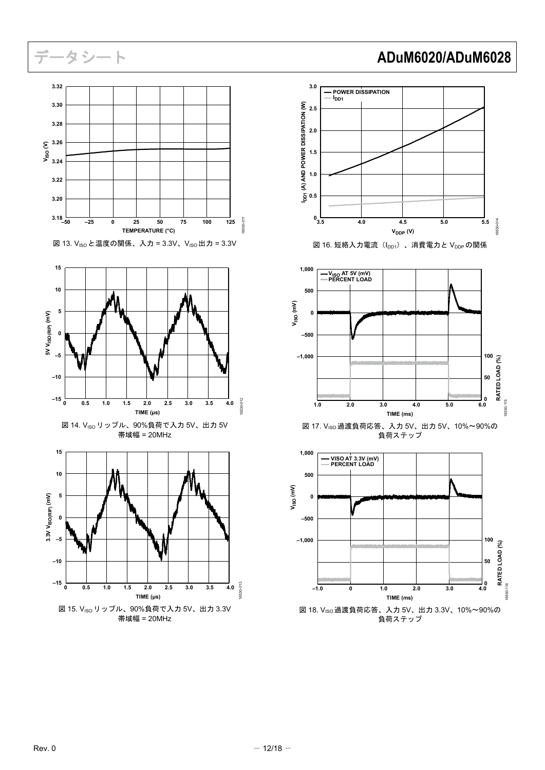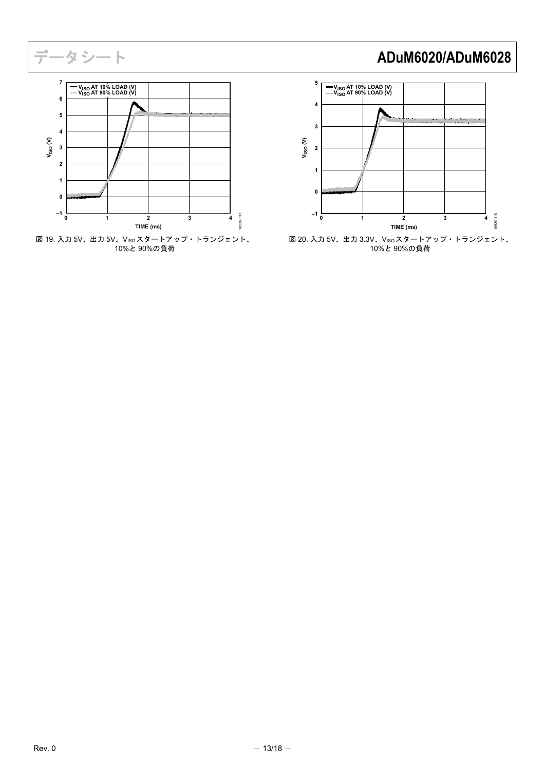

図 19. 入力 5V、出力 5V、VISOスタートアップ・トランジェント、 10%と 90%の負荷

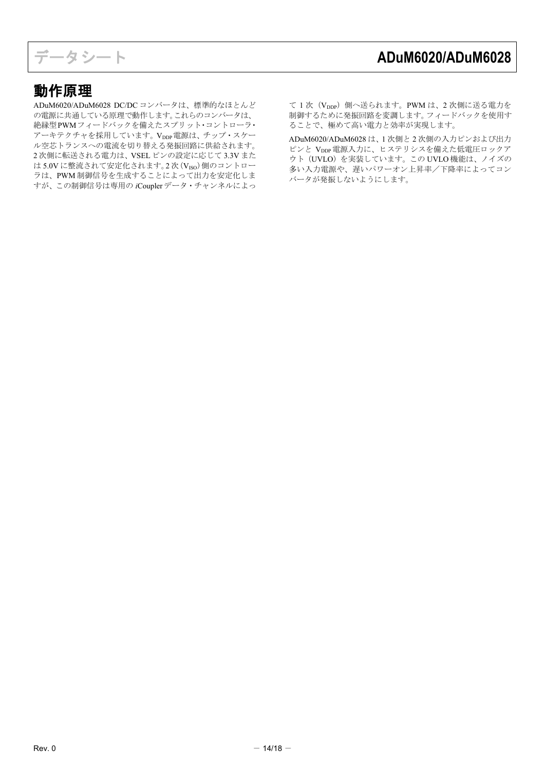# <span id="page-13-0"></span>動作原理

ADuM6020/ADuM6028 DC/DC コンバータは、標準的なほとんど の電源に共通している原理で動作します。これらのコンバータは、 絶縁型PWMフィードバックを備えたスプリット・コントローラ・ アーキテクチャを採用しています。Vppp電源は、チップ・スケー ル空芯トランスへの電流を切り替える発振回路に供給されます。 2 次側に転送される電力は、VSEL ピンの設定に応じて 3.3V また は 5.0V に整流されて安定化されます。2次 (VISO) 側のコントロー ラは、PWM 制御信号を生成することによって出力を安定化しま すが、この制御信号は専用の *i*Coupler データ・チャンネルによっ

て 1次 (VDDP) 側へ送られます。PWM は、2 次側に送る電力を 制御するために発振回路を変調します。フィードバックを使用す ることで、極めて高い電力と効率が実現します。

ADuM6020/ADuM6028 は、1 次側と 2 次側の入力ピンおよび出力 ピンと Vppp 電源入力に、ヒステリシスを備えた低電圧ロックア ウト(UVLO)を実装しています。この UVLO 機能は、ノイズの 多い入力電源や、遅いパワーオン上昇率/下降率によってコン バータが発振しないようにします。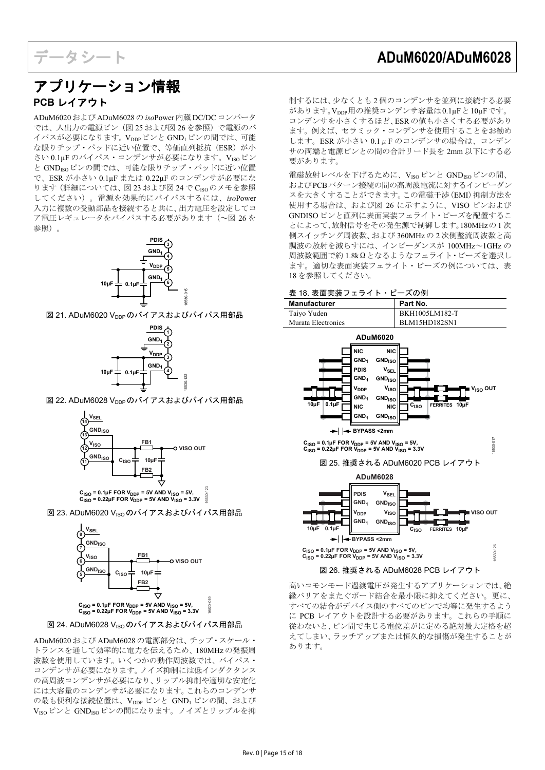## <span id="page-14-1"></span><span id="page-14-0"></span>アプリケーション情報 **PCB** レイアウト

ADuM6020および ADuM6028の *iso*Power内蔵 DC/DCコンバータ では、入出力の電源ピン[\(図](#page-14-2) 25 およ[び図](#page-14-3) 26 を参照)で電源のバ イパスが必要になります。Vpppピンと GND1ピンの間では、可能 な限りチップ・パッドに近い位置で、等価直列抵抗 (ESR) が小 さい 0.1µF のバイパス・コンデンサが必要になります。VISOピン と GND<sub>ISO</sub>ピンの間では、可能な限りチップ・パッドに近い位置 で、ESR が小さい 0.1µF または 0.22µF のコンデンサが必要にな ります(詳細については[、図](#page-14-4) 23 およ[び図](#page-14-5) 24 で CISOのメモを参照 してください)。電源を効果的にバイパスするには、*iso*Power 入力に複数の受動部品を接続すると共に、出力電圧を設定してコ ア電圧レギュレータをバイパスする必要があります([~図](#page-14-3) 26を 参照)。



図 21. ADuM6020 V<sub>DDP</sub> のバイアスおよびバイパス用部品



図 22. ADuM6028 Vppp のバイアスおよびバイパス用部品



16530-123 **CISO = 0.1µF FOR VDDP = 5V AND VISO = 5V, CISO = 0.22µF FOR VDDP = 5V AND VISO = 3.3V**

<span id="page-14-4"></span>図 23. ADuM6020 V<sub>ISO</sub> のバイアスおよびバイパス用部品



## <span id="page-14-5"></span>図 24. ADuM6028 V<sub>ISO</sub> のバイアスおよびバイパス用部品

ADuM6020 および ADuM6028 の電源部分は、チップ・スケール・ トランスを通して効率的に電力を伝えるため、180MHz の発振周 波数を使用しています。いくつかの動作周波数では、バイパス・ コンデンサが必要になります。ノイズ抑制には低インダクタンス の高周波コンデンサが必要になり、リップル抑制や適切な安定化 には大容量のコンデンサが必要になります。これらのコンデンサ の最も便利な接続位置は、VDDP ピンと GND1 ピンの間、および VISOピンと GNDISOピンの間になります。ノイズとリップルを抑 制するには、少なくとも 2 個のコンデンサを並列に接続する必要 があります。Vppp用の推奨コンデンサ容量は0.1μFと10μFです。 コンデンサを小さくするほど、ESR の値も小さくする必要があり ます。例えば、セラミック・コンデンサを使用することをお勧め します。ESR が小さい 0.1μF のコンデンサの場合は、コンデン サの両端と電源ピンとの間の合計リード長を 2mm 以下にする必 要があります。

電磁放射レベルを下げるために、VISOピンと GNDISOピンの間、 およびPCBパターン接続の間の高周波電流に対するインピーダン スを大きくすることができます。この電磁干渉(EMI)抑制方法を 使用する場合は、およ[び図](#page-14-3) 26 に示すように、VISO ピンおよび GNDISO ピンと直列に表面実装フェライト・ビーズを配置するこ とによって、放射信号をその発生源で制御します。180MHzの1 次 側スイッチング周波数、および 360MHz の 2 次側整流周波数と高 調波の放射を減らすには、インピーダンスが 100MHz~1GHz の 周波数範囲で約 1.8kΩとなるようなフェライト・ビーズを選択し ます。適切な表面実装フェライト・ビーズの例については[、表](#page-14-6) [18](#page-14-6) を参照してください。

### <span id="page-14-6"></span>表 18. 表面実装フェライト・ビーズの例



<span id="page-14-3"></span><span id="page-14-2"></span>高いコモンモード過渡電圧が発生するアプリケーションでは、絶 縁バリアをまたぐボード結合を最小限に抑えてください。更に、 すべての結合がデバイス側のすべてのピンで均等に発生するよう に PCB レイアウトを設計する必要があります。これらの手順に 従わないと、ピン間で生じる電位差がに定める絶対最大定格を超 えてしまい、ラッチアップまたは恒久的な損傷が発生することが あります。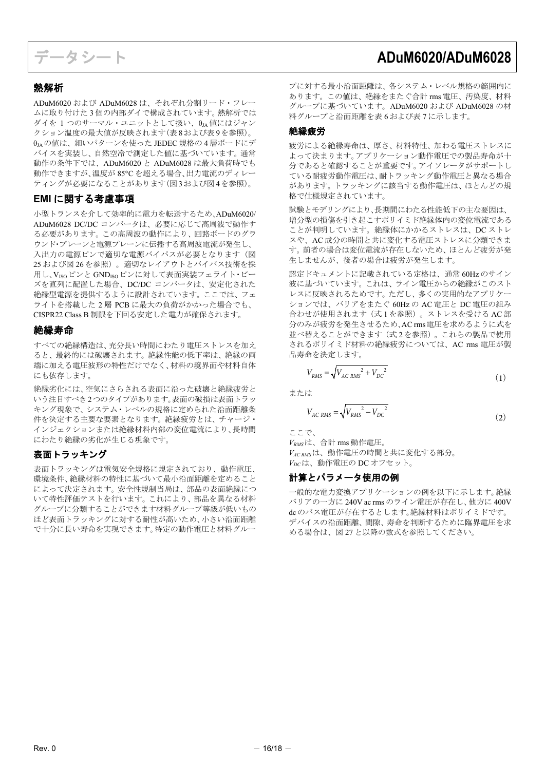## <span id="page-15-0"></span>熱解析

ADuM6020 および ADuM6028 は、それぞれ分割リード・フレー ムに取り付けた 3 個の内部ダイで構成されています。熱解析では ダイを 1 つのサーマル・ユニットとして扱い、θJA 値にはジャン クション温度の最大値が反映されます[\(表](#page-5-10)8およ[び表](#page-5-11)9を参照)。 θIAの値は、細いパターンを使った JEDEC 規格の4層ボードにデ バイスを実装し、自然空冷で測定した値に基づいています。通常 動作の条件下では、ADuM6020 と ADuM6028 は最大負荷時でも 動作できますが、温度が 85°C を超える場合、出力電流のディレー ティングが必要になることがあります[\(図](#page-7-1)3およ[び図](#page-7-2)4を参照)。

## <span id="page-15-1"></span>**EMI** に関する考慮事項

小型トランスを介して効率的に電力を転送するため、ADuM6020/ ADuM6028 DC/DC コンバータは、必要に応じて高周波で動作す る必要があります。この高周波の動作により、回路ボードのグラ ウンド・プレーンと電源プレーンに伝播する高周波電流が発生し、 入出力の電源ピンで適切な電源バイパスが必要となります[\(図](#page-14-2) [25](#page-14-2) およ[び図](#page-14-3) 26 を参照)。適切なレイアウトとバイパス技術を採 用し、VISOピンと GNDISOピンに対して表面実装フェライト・ビー ズを直列に配置した場合、DC/DC コンバータは、安定化された 絶縁型電源を提供するように設計されています。ここでは、フェ ライトを搭載した 2 層 PCB に最大の負荷がかかった場合でも、 CISPR22 Class B 制限を下回る安定した電力が確保されます。

## <span id="page-15-2"></span>絶縁寿命

すべての絶縁構造は、充分長い時間にわたり電圧ストレスを加え ると、最終的には破壊されます。絶縁性能の低下率は、絶縁の両 端に加える電圧波形の特性だけでなく、材料の境界面や材料自体 にも依存します。

絶縁劣化には、空気にさらされる表面に沿った破壊と絶縁疲労と いう注目すべき2つのタイプがあります。表面の破損は表面トラッ キング現象で、システム・レベルの規格に定められた沿面距離条 件を決定する主要な要素となります。絶縁疲労とは、チャージ・ インジェクションまたは絶縁材料内部の変位電流により、長時間 にわたり絶縁の劣化が生じる現象です。

## 表面トラッキング

表面トラッキングは電気安全規格に規定されており、動作電圧、 環境条件、絶縁材料の特性に基づいて最小沿面距離を定めること によって決定されます。安全性規制当局は、部品の表面絶縁につ いて特性評価テストを行います。これにより、部品を異なる材料 グループに分類することができます材料グループ等級が低いもの ほど表面トラッキングに対する耐性が高いため、小さい沿面距離 で十分に長い寿命を実現できます。特定の動作電圧と材料グルー

プに対する最小沿面距離は、各システム・レベル規格の範囲内に あります。この値は、絶縁をまたぐ合計 rms 電圧、汚染度、材料 グループに基づいています。ADuM6020 および ADuM6028 の材 料グループと沿面距離[を表](#page-4-5) 6 およ[び表](#page-4-6) 7 に示します。

## 絶縁疲労

疲労による絶縁寿命は、厚さ、材料特性、加わる電圧ストレスに よって決まります。アプリケーション動作電圧での製品寿命が十 分であると確認することが重要です。アイソレータがサポートし ている耐疲労動作電圧は、耐トラッキング動作電圧と異なる場合 があります。トラッキングに該当する動作電圧は、ほとんどの規 格で仕様規定されています。

試験とモデリングにより、長期間にわたる性能低下の主な要因は、 増分型の損傷を引き起こすポリイミド絶縁体内の変位電流である ことが判明しています。絶縁体にかかるストレスは、DC ストレ スや、AC 成分の時間と共に変化する電圧ストレスに分類できま す。前者の場合は変位電流が存在しないため、ほとんど疲労が発 生しませんが、後者の場合は疲労が発生します。

認定ドキュメントに記載されている定格は、通常 60Hz のサイン 波に基づいています。これは、ライン電圧からの絶縁がこのスト レスに反映されるためです。ただし、多くの実用的なアプリケー ションでは、バリアをまたぐ 60Hz の AC 電圧と DC 電圧の組み 合わせが使用されます(式1を参照)。ストレスを受ける AC部 分のみが疲労を発生させるため、AC rms電圧を求めるように式を 並べ替えることができます(式 2 を参照)。これらの製品で使用 されるポリイミド材料の絶縁疲労については、AC rms 電圧が製 品寿命を決定します。

$$
V_{RMS} = \sqrt{V_{AC\ RMS}^2 + V_{DC}^2}
$$
 (1)

または

$$
V_{AC\ RMS} = \sqrt{V_{RMS}^2 - V_{DC}^2}
$$
 (2)

ここで、

*VRMS*は、合計 rms 動作電圧。

*VAC RMS*は、動作電圧の時間と共に変化する部分。 *VDC*は、動作電圧の DC オフセット。

## 計算とパラメータ使用の例

一般的な電力変換アプリケーションの例を以下に示します。絶縁 バリアの一方に 240V ac rms のライン電圧が存在し、他方に 400V dcのバス電圧が存在するとします。絶縁材料はポリイミドです。 デバイスの沿面距離、間隙、寿命を判断するために臨界電圧を求 める場合は[、図](#page-16-0) 27 と以降の数式を参照してください。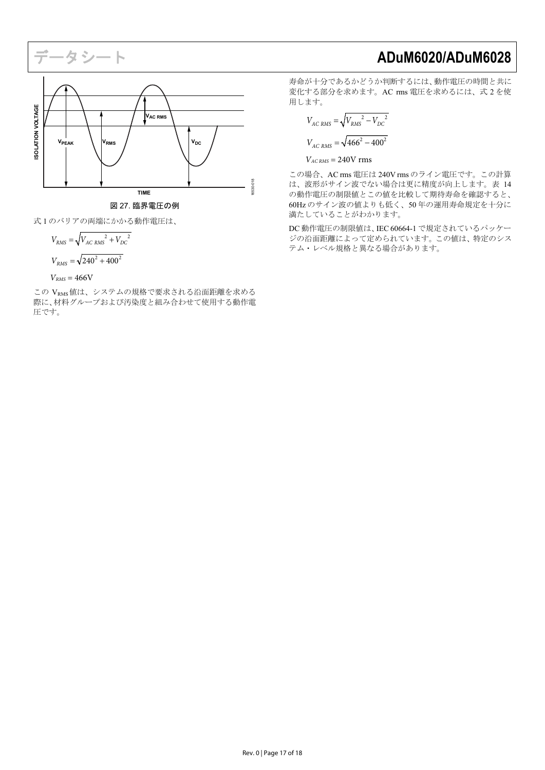# **ISOLATION VOLTAGE ISOLATION VOLTAGE VAC RMS**  $V_{\text{PEAK}}$   $V_{\text{RMS}}$   $/$   $V_{\text{DC}}$ 6530-018 16530-018 **TIME**

図 27. 臨界電圧の例

<span id="page-16-0"></span>式 1 のバリアの両端にかかる動作電圧は、

$$
V_{RMS} = \sqrt{V_{AC RMS}^2 + V_{DC}^2}
$$
  

$$
V_{RMS} = \sqrt{240^2 + 400^2}
$$
  

$$
V_{RMS} = 466
$$

この VRMS値は、システムの規格で要求される沿面距離を求める 際に、材料グループおよび汚染度と組み合わせて使用する動作電 圧です。

寿命が十分であるかどうか判断するには、動作電圧の時間と共に 変化する部分を求めます。AC rms 電圧を求めるには、式 2 を使 用します。

$$
V_{AC RMS} = \sqrt{V_{RMS}^2 - V_{DC}^2}
$$

$$
V_{AC RMS} = \sqrt{466^2 - 400^2}
$$

 $V_{AC RMS}$  = 240V rms

この場合、AC rms 電圧は 240V rms のライン電圧です。この計算 は、波形がサイン波でない場合は更に精度が向上します[。表](#page-8-2) 14 の動作電圧の制限値とこの値を比較して期待寿命を確認すると、 60Hz のサイン波の値よりも低く、50 年の運用寿命規定を十分に 満たしていることがわかります。

DC 動作電圧の制限値は、IEC 60664-1 で規定されているパッケー ジの沿面距離によって定められています。この値は、特定のシス テム・レベル規格と異なる場合があります。